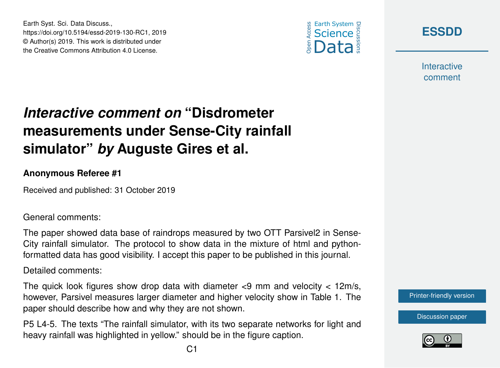



**[ESSDD](https://www.earth-syst-sci-data-discuss.net/)**

**Interactive** comment

## *Interactive comment on* **"Disdrometer measurements under Sense-City rainfall simulator"** *by* **Auguste Gires et al.**

## **Anonymous Referee #1**

Received and published: 31 October 2019

General comments:

The paper showed data base of raindrops measured by two OTT Parsivel2 in Sense-City rainfall simulator. The protocol to show data in the mixture of html and pythonformatted data has good visibility. I accept this paper to be published in this journal.

Detailed comments:

The quick look figures show drop data with diameter  $\lt 9$  mm and velocity  $\lt 12 \text{m/s}$ , however, Parsivel measures larger diameter and higher velocity show in Table 1. The paper should describe how and why they are not shown.

P5 L4-5. The texts "The rainfall simulator, with its two separate networks for light and heavy rainfall was highlighted in yellow." should be in the figure caption.



[Discussion paper](https://www.earth-syst-sci-data-discuss.net/essd-2019-130)